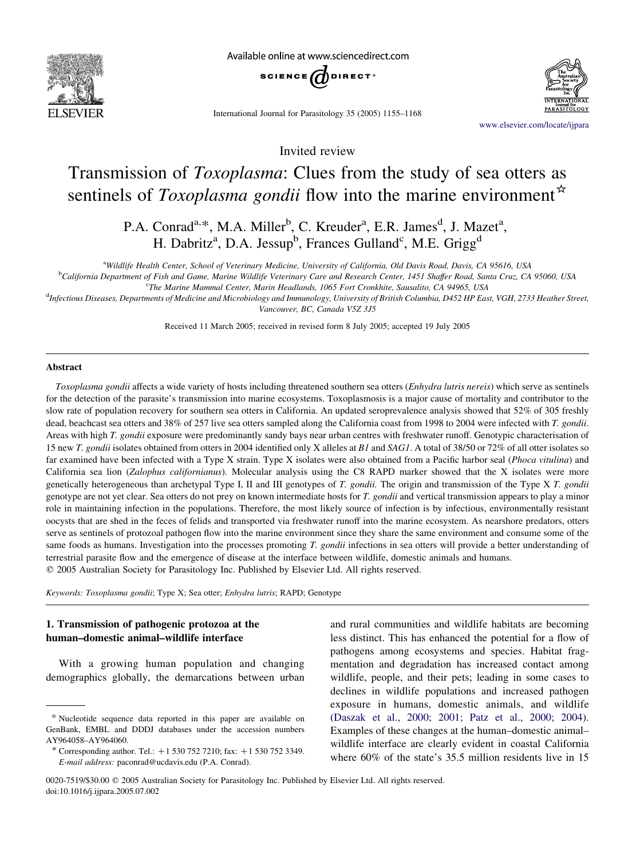

Available online at www.sciencedirect.com



International Journal for Parasitology 35 (2005) 1155–1168

[www.elsevier.com/locate/ijpara](http://www.elsevier.com/locate/PARA)

Invited review

# Transmission of Toxoplasma: Clues from the study of sea otters as sentinels of Toxoplasma gondii flow into the marine environment<sup> $\star$ </sup>

P.A. Conrad<sup>a,\*</sup>, M.A. Miller<sup>b</sup>, C. Kreuder<sup>a</sup>, E.R. James<sup>d</sup>, J. Mazet<sup>a</sup>, H. Dabritz<sup>a</sup>, D.A. Jessup<sup>b</sup>, Frances Gulland<sup>c</sup>, M.E. Grigg<sup>d</sup>

a Wildlife Health Center, School of Veterinary Medicine, University of California, Old Davis Road, Davis, CA 95616, USA

<sup>b</sup>California Department of Fish and Game, Marine Wildlife Veterinary Care and Research Center, 1451 Shaffer Road, Santa Cruz, CA 95060, USA <sup>c</sup>The Marine Mammal Center, Marin Headlands, 1065 Fort Cronkhite, Sausalito, CA 94965, USA

<sup>d</sup>Infectious Diseases, Departments of Medicine and Microbiology and Immunology, University of British Columbia, D452 HP East, VGH, 2733 Heather Street, Vancouver, BC, Canada V5Z 3J5

Received 11 March 2005; received in revised form 8 July 2005; accepted 19 July 2005

#### Abstract

Toxoplasma gondii affects a wide variety of hosts including threatened southern sea otters (Enhydra lutris nereis) which serve as sentinels for the detection of the parasite's transmission into marine ecosystems. Toxoplasmosis is a major cause of mortality and contributor to the slow rate of population recovery for southern sea otters in California. An updated seroprevalence analysis showed that 52% of 305 freshly dead, beachcast sea otters and 38% of 257 live sea otters sampled along the California coast from 1998 to 2004 were infected with T. gondii. Areas with high T. gondii exposure were predominantly sandy bays near urban centres with freshwater runoff. Genotypic characterisation of 15 new T. gondii isolates obtained from otters in 2004 identified only X alleles at B1 and SAG1. A total of 38/50 or 72% of all otter isolates so far examined have been infected with a Type X strain. Type X isolates were also obtained from a Pacific harbor seal (*Phoca vitulina*) and California sea lion (Zalophus californianus). Molecular analysis using the C8 RAPD marker showed that the X isolates were more genetically heterogeneous than archetypal Type I, II and III genotypes of T. gondii. The origin and transmission of the Type X T. gondii genotype are not yet clear. Sea otters do not prey on known intermediate hosts for T. gondii and vertical transmission appears to play a minor role in maintaining infection in the populations. Therefore, the most likely source of infection is by infectious, environmentally resistant oocysts that are shed in the feces of felids and transported via freshwater runoff into the marine ecosystem. As nearshore predators, otters serve as sentinels of protozoal pathogen flow into the marine environment since they share the same environment and consume some of the same foods as humans. Investigation into the processes promoting T. gondii infections in sea otters will provide a better understanding of terrestrial parasite flow and the emergence of disease at the interface between wildlife, domestic animals and humans.  $©$  2005 Australian Society for Parasitology Inc. Published by Elsevier Ltd. All rights reserved.

Keywords: Toxoplasma gondii; Type X; Sea otter; Enhydra lutris; RAPD; Genotype

# 1. Transmission of pathogenic protozoa at the human–domestic animal–wildlife interface

With a growing human population and changing demographics globally, the demarcations between urban

and rural communities and wildlife habitats are becoming less distinct. This has enhanced the potential for a flow of pathogens among ecosystems and species. Habitat fragmentation and degradation has increased contact among wildlife, people, and their pets; leading in some cases to declines in wildlife populations and increased pathogen exposure in humans, domestic animals, and wildlife ([Daszak et al., 2000; 2001; Patz et al., 2000; 2004\)](#page-10-0). Examples of these changes at the human–domestic animal– wildlife interface are clearly evident in coastal California where 60% of the state's 35.5 million residents live in 15

<sup>\*</sup> Nucleotide sequence data reported in this paper are available on GenBank, EMBL and DDDJ databases under the accession numbers AY964058–AY964060.

<sup>\*</sup> Corresponding author. Tel.:  $+1$  530 752 7210; fax:  $+1$  530 752 3349. E-mail address: paconrad@ucdavis.edu (P.A. Conrad).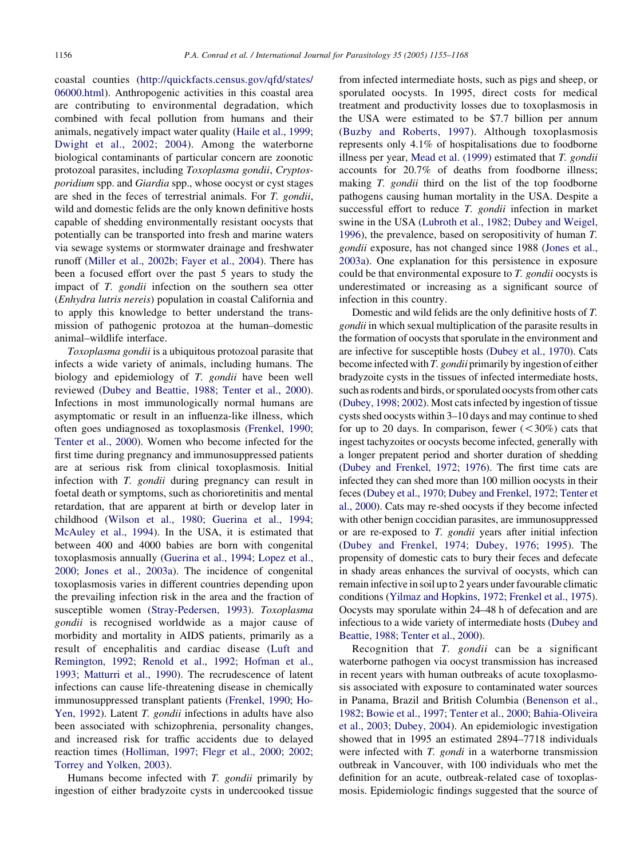coastal counties ([http://quickfacts.census.gov/qfd/states/](http://quickfacts.census.gov/qfd/states/06000.html) [06000.html](http://quickfacts.census.gov/qfd/states/06000.html)). Anthropogenic activities in this coastal area are contributing to environmental degradation, which combined with fecal pollution from humans and their animals, negatively impact water quality ([Haile et al., 1999;](#page-11-0) [Dwight et al., 2002; 2004](#page-11-0)). Among the waterborne biological contaminants of particular concern are zoonotic protozoal parasites, including Toxoplasma gondii, Cryptosporidium spp. and Giardia spp., whose oocyst or cyst stages are shed in the feces of terrestrial animals. For T. gondii, wild and domestic felids are the only known definitive hosts capable of shedding environmentally resistant oocysts that potentially can be transported into fresh and marine waters via sewage systems or stormwater drainage and freshwater runoff ([Miller et al., 2002b; Fayer et al., 2004](#page-12-0)). There has been a focused effort over the past 5 years to study the impact of T. gondii infection on the southern sea otter (Enhydra lutris nereis) population in coastal California and to apply this knowledge to better understand the transmission of pathogenic protozoa at the human–domestic animal–wildlife interface.

Toxoplasma gondii is a ubiquitous protozoal parasite that infects a wide variety of animals, including humans. The biology and epidemiology of T. gondii have been well reviewed ([Dubey and Beattie, 1988; Tenter et al., 2000\)](#page-10-0). Infections in most immunologically normal humans are asymptomatic or result in an influenza-like illness, which often goes undiagnosed as toxoplasmosis ([Frenkel, 1990;](#page-11-0) [Tenter et al., 2000\)](#page-11-0). Women who become infected for the first time during pregnancy and immunosuppressed patients are at serious risk from clinical toxoplasmosis. Initial infection with T. *gondii* during pregnancy can result in foetal death or symptoms, such as chorioretinitis and mental retardation, that are apparent at birth or develop later in childhood [\(Wilson et al., 1980; Guerina et al., 1994;](#page-13-0) [McAuley et al., 1994](#page-13-0)). In the USA, it is estimated that between 400 and 4000 babies are born with congenital toxoplasmosis annually ([Guerina et al., 1994; Lopez et al.,](#page-11-0) [2000; Jones et al., 2003a\)](#page-11-0). The incidence of congenital toxoplasmosis varies in different countries depending upon the prevailing infection risk in the area and the fraction of susceptible women [\(Stray-Pedersen, 1993](#page-13-0)). Toxoplasma gondii is recognised worldwide as a major cause of morbidity and mortality in AIDS patients, primarily as a result of encephalitis and cardiac disease [\(Luft and](#page-12-0) [Remington, 1992; Renold et al., 1992; Hofman et al.,](#page-12-0) [1993; Matturri et al., 1990\)](#page-12-0). The recrudescence of latent infections can cause life-threatening disease in chemically immunosuppressed transplant patients ([Frenkel, 1990; Ho-](#page-11-0)[Yen, 1992\)](#page-11-0). Latent T. gondii infections in adults have also been associated with schizophrenia, personality changes, and increased risk for traffic accidents due to delayed reaction times [\(Holliman, 1997; Flegr et al., 2000; 2002;](#page-11-0) [Torrey and Yolken, 2003](#page-11-0)).

Humans become infected with  $T$ . *gondii* primarily by ingestion of either bradyzoite cysts in undercooked tissue from infected intermediate hosts, such as pigs and sheep, or sporulated oocysts. In 1995, direct costs for medical treatment and productivity losses due to toxoplasmosis in the USA were estimated to be \$7.7 billion per annum ([Buzby and Roberts, 1997\)](#page-10-0). Although toxoplasmosis represents only 4.1% of hospitalisations due to foodborne illness per year, [Mead et al. \(1999\)](#page-12-0) estimated that T. gondii accounts for 20.7% of deaths from foodborne illness; making T. *gondii* third on the list of the top foodborne pathogens causing human mortality in the USA. Despite a successful effort to reduce *T. gondii* infection in market swine in the USA [\(Lubroth et al., 1982; Dubey and Weigel,](#page-12-0) [1996\)](#page-12-0), the prevalence, based on seropositivity of human T. gondii exposure, has not changed since 1988 [\(Jones et al.,](#page-11-0) [2003a](#page-11-0)). One explanation for this persistence in exposure could be that environmental exposure to T. gondii oocysts is underestimated or increasing as a significant source of infection in this country.

Domestic and wild felids are the only definitive hosts of T. gondii in which sexual multiplication of the parasite results in the formation of oocysts that sporulate in the environment and are infective for susceptible hosts [\(Dubey et al., 1970\)](#page-10-0). Cats become infected with T. gondii primarily by ingestion of either bradyzoite cysts in the tissues of infected intermediate hosts, such as rodents and birds, or sporulated oocysts from other cats ([Dubey, 1998; 2002](#page-10-0)). Most cats infected by ingestion of tissue cysts shed oocysts within 3–10 days and may continue to shed for up to 20 days. In comparison, fewer  $(< 30\%)$  cats that ingest tachyzoites or oocysts become infected, generally with a longer prepatent period and shorter duration of shedding ([Dubey and Frenkel, 1972; 1976](#page-10-0)). The first time cats are infected they can shed more than 100 million oocysts in their feces [\(Dubey et al., 1970; Dubey and Frenkel, 1972; Tenter et](#page-10-0) [al., 2000\)](#page-10-0). Cats may re-shed oocysts if they become infected with other benign coccidian parasites, are immunosuppressed or are re-exposed to T. gondii years after initial infection ([Dubey and Frenkel, 1974; Dubey, 1976; 1995\)](#page-10-0). The propensity of domestic cats to bury their feces and defecate in shady areas enhances the survival of oocysts, which can remain infective in soil up to 2 years under favourable climatic conditions [\(Yilmaz and Hopkins, 1972; Frenkel et al., 1975](#page-13-0)). Oocysts may sporulate within 24–48 h of defecation and are infectious to a wide variety of intermediate hosts [\(Dubey and](#page-10-0) [Beattie, 1988; Tenter et al., 2000\)](#page-10-0).

Recognition that T. gondii can be a significant waterborne pathogen via oocyst transmission has increased in recent years with human outbreaks of acute toxoplasmosis associated with exposure to contaminated water sources in Panama, Brazil and British Columbia ([Benenson et al.,](#page-10-0) [1982; Bowie et al., 1997; Tenter et al., 2000; Bahia-Oliveira](#page-10-0) [et al., 2003; Dubey, 2004\)](#page-10-0). An epidemiologic investigation showed that in 1995 an estimated 2894–7718 individuals were infected with T. gondi in a waterborne transmission outbreak in Vancouver, with 100 individuals who met the definition for an acute, outbreak-related case of toxoplasmosis. Epidemiologic findings suggested that the source of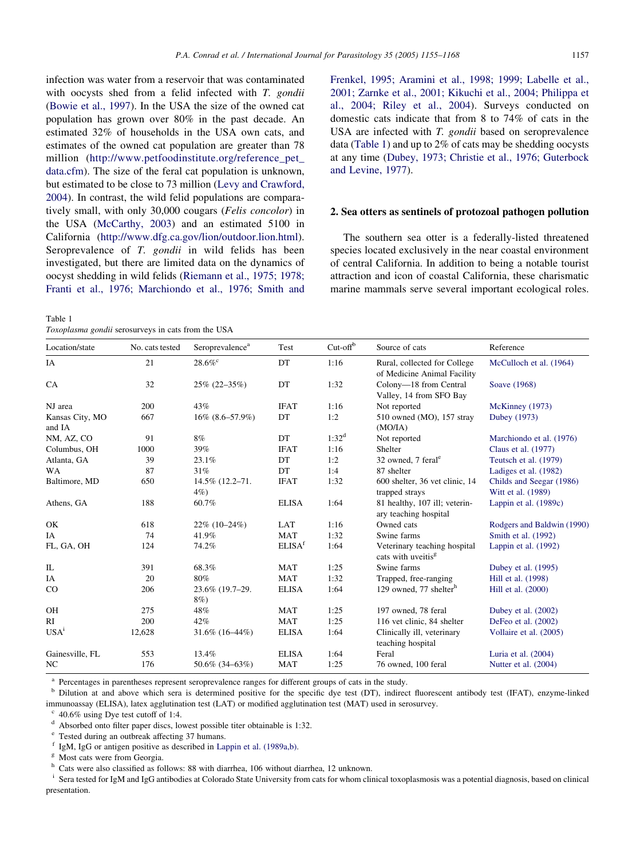infection was water from a reservoir that was contaminated with oocysts shed from a felid infected with T. gondii ([Bowie et al., 1997\)](#page-10-0). In the USA the size of the owned cat population has grown over 80% in the past decade. An estimated 32% of households in the USA own cats, and estimates of the owned cat population are greater than 78 million ([http://www.petfoodinstitute.org/reference\\_pet\\_](http://www.petfoodinstitute.org/reference_pet_data.cfm) [data.cfm](http://www.petfoodinstitute.org/reference_pet_data.cfm)). The size of the feral cat population is unknown, but estimated to be close to 73 million [\(Levy and Crawford,](#page-12-0) [2004](#page-12-0)). In contrast, the wild felid populations are comparatively small, with only 30,000 cougars (Felis concolor) in the USA ([McCarthy, 2003\)](#page-12-0) and an estimated 5100 in California [\(http://www.dfg.ca.gov/lion/outdoor.lion.html\)](http://www.dfg.ca.gov/lion/outdoor.lion.htmlu). Seroprevalence of T. gondii in wild felids has been investigated, but there are limited data on the dynamics of oocyst shedding in wild felids [\(Riemann et al., 1975; 1978;](#page-12-0) [Franti et al., 1976; Marchiondo et al., 1976; Smith and](#page-12-0)

Table 1

Toxoplasma gondii serosurveys in cats from the USA

[Frenkel, 1995; Aramini et al., 1998; 1999; Labelle et al.,](#page-12-0) [2001; Zarnke et al., 2001; Kikuchi et al., 2004; Philippa et](#page-12-0) [al., 2004; Riley et al., 2004](#page-12-0)). Surveys conducted on domestic cats indicate that from 8 to 74% of cats in the USA are infected with *T. gondii* based on seroprevalence data (Table 1) and up to 2% of cats may be shedding oocysts at any time ([Dubey, 1973; Christie et al., 1976; Guterbock](#page-10-0) [and Levine, 1977](#page-10-0)).

## 2. Sea otters as sentinels of protozoal pathogen pollution

The southern sea otter is a federally-listed threatened species located exclusively in the near coastal environment of central California. In addition to being a notable tourist attraction and icon of coastal California, these charismatic marine mammals serve several important ecological roles.

| Location/state            | No. cats tested | Seroprevalence <sup>a</sup> | Test               | $Cut$ -off <sup>b</sup> | Source of cats                                                 | Reference                                      |
|---------------------------|-----------------|-----------------------------|--------------------|-------------------------|----------------------------------------------------------------|------------------------------------------------|
| IA                        | 21              | $28.6\%$                    | DT                 | 1:16                    | Rural, collected for College<br>of Medicine Animal Facility    | McCulloch et al. (1964)                        |
| CA                        | 32              | $25\% (22 - 35\%)$          | DT                 | 1:32                    | Colony-18 from Central<br>Valley, 14 from SFO Bay              | Soave (1968)                                   |
| NJ area                   | 200             | 43%                         | <b>IFAT</b>        | 1:16                    | Not reported                                                   | McKinney (1973)                                |
| Kansas City, MO<br>and IA | 667             | $16\%$ $(8.6 - 57.9\%)$     | DT                 | 1:2                     | 510 owned (MO), 157 stray<br>(MO/IA)                           | Dubey (1973)                                   |
| NM, AZ, CO                | 91              | 8%                          | DT                 | $1:32^d$                | Not reported                                                   | Marchiondo et al. (1976)                       |
| Columbus, OH              | 1000            | 39%                         | <b>IFAT</b>        | 1:16                    | Shelter                                                        | Claus et al. (1977)                            |
| Atlanta, GA               | 39              | 23.1%                       | DT                 | 1:2                     | 32 owned, 7 feral <sup>e</sup>                                 | Teutsch et al. (1979)                          |
| <b>WA</b>                 | 87              | 31%                         | DT                 | 1:4                     | 87 shelter                                                     | Ladiges et al. (1982)                          |
| Baltimore, MD             | 650             | 14.5% (12.2-71.<br>$4\%$    | <b>IFAT</b>        | 1:32                    | 600 shelter, 36 vet clinic, 14<br>trapped strays               | Childs and Seegar (1986)<br>Witt et al. (1989) |
| Athens, GA                | 188             | 60.7%                       | <b>ELISA</b>       | 1:64                    | 81 healthy, 107 ill; veterin-<br>ary teaching hospital         | Lappin et al. (1989c)                          |
| OK                        | 618             | $22\%$ (10-24%)             | LAT                | 1:16                    | Owned cats                                                     | Rodgers and Baldwin (1990)                     |
| IA                        | 74              | 41.9%                       | <b>MAT</b>         | 1:32                    | Swine farms                                                    | Smith et al. (1992)                            |
| FL, GA, OH                | 124             | 74.2%                       | ELISA <sup>f</sup> | 1:64                    | Veterinary teaching hospital<br>cats with uveitis <sup>g</sup> | Lappin et al. $(1992)$                         |
| IL                        | 391             | 68.3%                       | MAT                | 1:25                    | Swine farms                                                    | Dubey et al. $(1995)$                          |
| IA                        | 20              | 80%                         | MAT                | 1:32                    | Trapped, free-ranging                                          | Hill et al. (1998)                             |
| $_{\rm CO}$               | 206             | 23.6% (19.7-29.<br>8%)      | <b>ELISA</b>       | 1:64                    | 129 owned, 77 shelter <sup>h</sup>                             | Hill et al. (2000)                             |
| OH                        | 275             | 48%                         | MAT                | 1:25                    | 197 owned, 78 feral                                            | Dubey et al. $(2002)$                          |
| RI                        | 200             | 42%                         | <b>MAT</b>         | 1:25                    | 116 vet clinic, 84 shelter                                     | DeFeo et al. (2002)                            |
| USA <sup>i</sup>          | 12,628          | $31.6\%$ (16–44%)           | <b>ELISA</b>       | 1:64                    | Clinically ill, veterinary<br>teaching hospital                | Vollaire et al. (2005)                         |
| Gainesville, FL           | 553             | 13.4%                       | <b>ELISA</b>       | 1:64                    | Feral                                                          | Luria et al. $(2004)$                          |
| NC                        | 176             | $50.6\%$ (34–63%)           | MAT                | 1:25                    | 76 owned, 100 feral                                            | Nutter et al. (2004)                           |

Percentages in parentheses represent seroprevalence ranges for different groups of cats in the study.

<sup>b</sup> Dilution at and above which sera is determined positive for the specific dye test (DT), indirect fluorescent antibody test (IFAT), enzyme-linked immunoassay (ELISA), latex agglutination test (LAT) or modified agglutination test (MAT) used in serosurvey.

 $\degree$  40.6% using Dye test cutoff of 1:4.

<sup>d</sup> Absorbed onto filter paper discs, lowest possible titer obtainable is 1:32.<br>
<sup>e</sup> Tested during an outbreak affecting 37 humans.<br>
<sup>f</sup> LeM, LeG or antigen positive as described in Lappin at al. (1989a b)

<sup>f</sup> IgM, IgG or antigen positive as described in [Lappin et al. \(1989a,b\)](#page-11-0). <sup>g</sup> Most cats were from Georgia.

Cats were also classified as follows: 88 with diarrhea, 106 without diarrhea, 12 unknown.

Sera tested for IgM and IgG antibodies at Colorado State University from cats for whom clinical toxoplasmosis was a potential diagnosis, based on clinical presentation.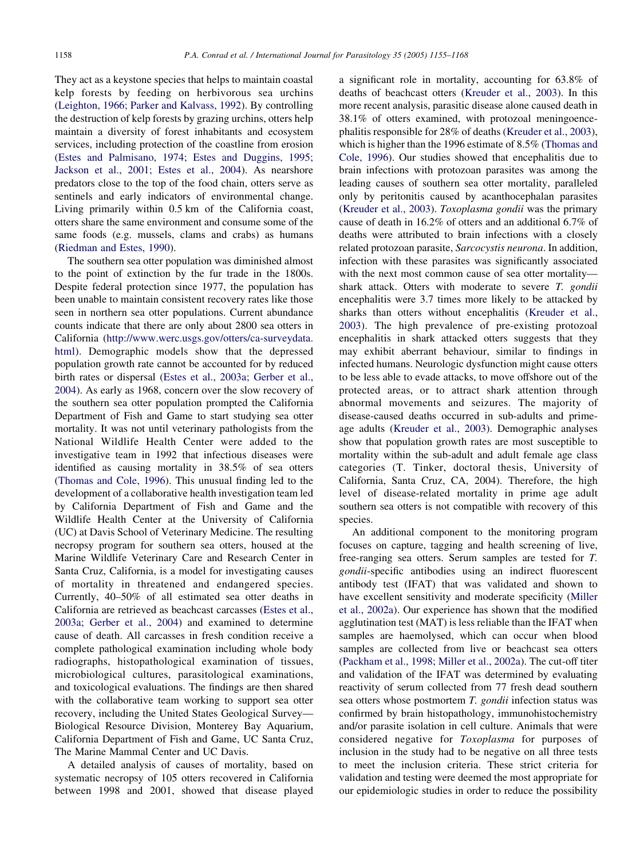They act as a keystone species that helps to maintain coastal kelp forests by feeding on herbivorous sea urchins ([Leighton, 1966; Parker and Kalvass, 1992](#page-12-0)). By controlling the destruction of kelp forests by grazing urchins, otters help maintain a diversity of forest inhabitants and ecosystem services, including protection of the coastline from erosion ([Estes and Palmisano, 1974; Estes and Duggins, 1995;](#page-10-0) [Jackson et al., 2001; Estes et al., 2004](#page-10-0)). As nearshore predators close to the top of the food chain, otters serve as sentinels and early indicators of environmental change. Living primarily within 0.5 km of the California coast, otters share the same environment and consume some of the same foods (e.g. mussels, clams and crabs) as humans ([Riedman and Estes, 1990](#page-12-0)).

The southern sea otter population was diminished almost to the point of extinction by the fur trade in the 1800s. Despite federal protection since 1977, the population has been unable to maintain consistent recovery rates like those seen in northern sea otter populations. Current abundance counts indicate that there are only about 2800 sea otters in California ([http://www.werc.usgs.gov/otters/ca-surveydata.](http://www.werc.usgs.gov/otters/ca-surveydata.html) [html\)](http://www.werc.usgs.gov/otters/ca-surveydata.html). Demographic models show that the depressed population growth rate cannot be accounted for by reduced birth rates or dispersal [\(Estes et al., 2003a; Gerber et al.,](#page-10-0) [2004\)](#page-10-0). As early as 1968, concern over the slow recovery of the southern sea otter population prompted the California Department of Fish and Game to start studying sea otter mortality. It was not until veterinary pathologists from the National Wildlife Health Center were added to the investigative team in 1992 that infectious diseases were identified as causing mortality in 38.5% of sea otters ([Thomas and Cole, 1996\)](#page-13-0). This unusual finding led to the development of a collaborative health investigation team led by California Department of Fish and Game and the Wildlife Health Center at the University of California (UC) at Davis School of Veterinary Medicine. The resulting necropsy program for southern sea otters, housed at the Marine Wildlife Veterinary Care and Research Center in Santa Cruz, California, is a model for investigating causes of mortality in threatened and endangered species. Currently, 40–50% of all estimated sea otter deaths in California are retrieved as beachcast carcasses ([Estes et al.,](#page-10-0) [2003a; Gerber et al., 2004](#page-10-0)) and examined to determine cause of death. All carcasses in fresh condition receive a complete pathological examination including whole body radiographs, histopathological examination of tissues, microbiological cultures, parasitological examinations, and toxicological evaluations. The findings are then shared with the collaborative team working to support sea otter recovery, including the United States Geological Survey— Biological Resource Division, Monterey Bay Aquarium, California Department of Fish and Game, UC Santa Cruz, The Marine Mammal Center and UC Davis.

A detailed analysis of causes of mortality, based on systematic necropsy of 105 otters recovered in California between 1998 and 2001, showed that disease played a significant role in mortality, accounting for 63.8% of deaths of beachcast otters ([Kreuder et al., 2003](#page-11-0)). In this more recent analysis, parasitic disease alone caused death in 38.1% of otters examined, with protozoal meningoencephalitis responsible for 28% of deaths [\(Kreuder et al., 2003\)](#page-11-0), which is higher than the 1996 estimate of 8.5% [\(Thomas and](#page-13-0) [Cole, 1996](#page-13-0)). Our studies showed that encephalitis due to brain infections with protozoan parasites was among the leading causes of southern sea otter mortality, paralleled only by peritonitis caused by acanthocephalan parasites ([Kreuder et al., 2003](#page-11-0)). Toxoplasma gondii was the primary cause of death in 16.2% of otters and an additional 6.7% of deaths were attributed to brain infections with a closely related protozoan parasite, Sarcocystis neurona. In addition, infection with these parasites was significantly associated with the next most common cause of sea otter mortality shark attack. Otters with moderate to severe T. gondii encephalitis were 3.7 times more likely to be attacked by sharks than otters without encephalitis [\(Kreuder et al.,](#page-11-0) [2003\)](#page-11-0). The high prevalence of pre-existing protozoal encephalitis in shark attacked otters suggests that they may exhibit aberrant behaviour, similar to findings in infected humans. Neurologic dysfunction might cause otters to be less able to evade attacks, to move offshore out of the protected areas, or to attract shark attention through abnormal movements and seizures. The majority of disease-caused deaths occurred in sub-adults and primeage adults ([Kreuder et al., 2003\)](#page-11-0). Demographic analyses show that population growth rates are most susceptible to mortality within the sub-adult and adult female age class categories (T. Tinker, doctoral thesis, University of California, Santa Cruz, CA, 2004). Therefore, the high level of disease-related mortality in prime age adult southern sea otters is not compatible with recovery of this species.

An additional component to the monitoring program focuses on capture, tagging and health screening of live, free-ranging sea otters. Serum samples are tested for T. gondii-specific antibodies using an indirect fluorescent antibody test (IFAT) that was validated and shown to have excellent sensitivity and moderate specificity ([Miller](#page-12-0) [et al., 2002a\)](#page-12-0). Our experience has shown that the modified agglutination test (MAT) is less reliable than the IFAT when samples are haemolysed, which can occur when blood samples are collected from live or beachcast sea otters ([Packham et al., 1998; Miller et al., 2002a](#page-12-0)). The cut-off titer and validation of the IFAT was determined by evaluating reactivity of serum collected from 77 fresh dead southern sea otters whose postmortem T. gondii infection status was confirmed by brain histopathology, immunohistochemistry and/or parasite isolation in cell culture. Animals that were considered negative for Toxoplasma for purposes of inclusion in the study had to be negative on all three tests to meet the inclusion criteria. These strict criteria for validation and testing were deemed the most appropriate for our epidemiologic studies in order to reduce the possibility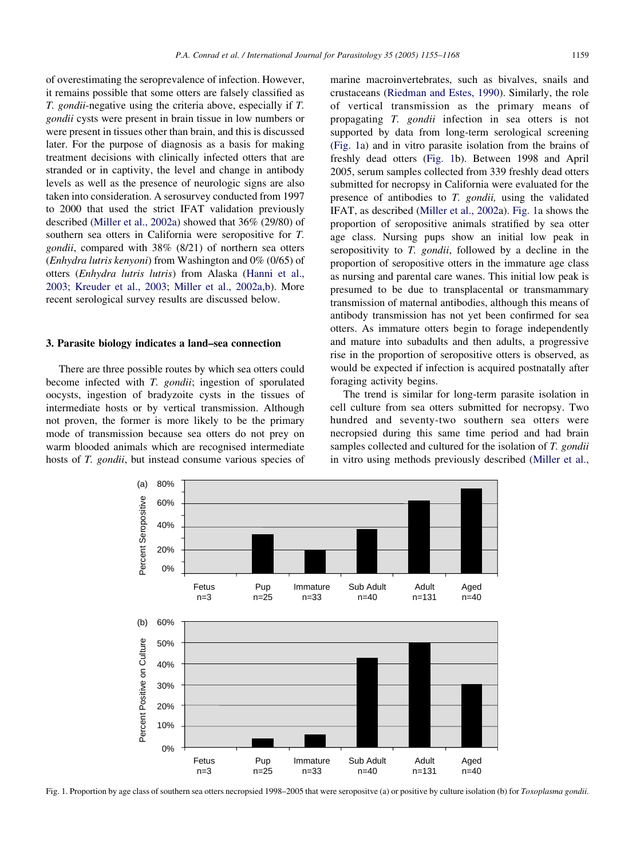<span id="page-4-0"></span>of overestimating the seroprevalence of infection. However, it remains possible that some otters are falsely classified as T. gondii-negative using the criteria above, especially if T. gondii cysts were present in brain tissue in low numbers or were present in tissues other than brain, and this is discussed later. For the purpose of diagnosis as a basis for making treatment decisions with clinically infected otters that are stranded or in captivity, the level and change in antibody levels as well as the presence of neurologic signs are also taken into consideration. A serosurvey conducted from 1997 to 2000 that used the strict IFAT validation previously described ([Miller et al., 2002a\)](#page-12-0) showed that 36% (29/80) of southern sea otters in California were seropositive for T. gondii, compared with 38% (8/21) of northern sea otters (Enhydra lutris kenyoni) from Washington and 0% (0/65) of otters (Enhydra lutris lutris) from Alaska ([Hanni et al.,](#page-11-0) [2003; Kreuder et al., 2003](#page-11-0); [Miller et al., 2002a,b](#page-12-0)). More recent serological survey results are discussed below.

### 3. Parasite biology indicates a land–sea connection

There are three possible routes by which sea otters could become infected with T. gondii; ingestion of sporulated oocysts, ingestion of bradyzoite cysts in the tissues of intermediate hosts or by vertical transmission. Although not proven, the former is more likely to be the primary mode of transmission because sea otters do not prey on warm blooded animals which are recognised intermediate hosts of T. *gondii*, but instead consume various species of

marine macroinvertebrates, such as bivalves, snails and crustaceans [\(Riedman and Estes, 1990\)](#page-12-0). Similarly, the role of vertical transmission as the primary means of propagating T. gondii infection in sea otters is not supported by data from long-term serological screening (Fig. 1a) and in vitro parasite isolation from the brains of freshly dead otters (Fig. 1b). Between 1998 and April 2005, serum samples collected from 339 freshly dead otters submitted for necropsy in California were evaluated for the presence of antibodies to T. gondii, using the validated IFAT, as described [\(Miller et al., 2002](#page-12-0)a). Fig. 1a shows the proportion of seropositive animals stratified by sea otter age class. Nursing pups show an initial low peak in seropositivity to T. gondii, followed by a decline in the proportion of seropositive otters in the immature age class as nursing and parental care wanes. This initial low peak is presumed to be due to transplacental or transmammary transmission of maternal antibodies, although this means of antibody transmission has not yet been confirmed for sea otters. As immature otters begin to forage independently and mature into subadults and then adults, a progressive rise in the proportion of seropositive otters is observed, as would be expected if infection is acquired postnatally after foraging activity begins.

The trend is similar for long-term parasite isolation in cell culture from sea otters submitted for necropsy. Two hundred and seventy-two southern sea otters were necropsied during this same time period and had brain samples collected and cultured for the isolation of T. gondii in vitro using methods previously described ([Miller et al.,](#page-12-0)



Fig. 1. Proportion by age class of southern sea otters necropsied 1998-2005 that were seropositve (a) or positive by culture isolation (b) for Toxoplasma gondii.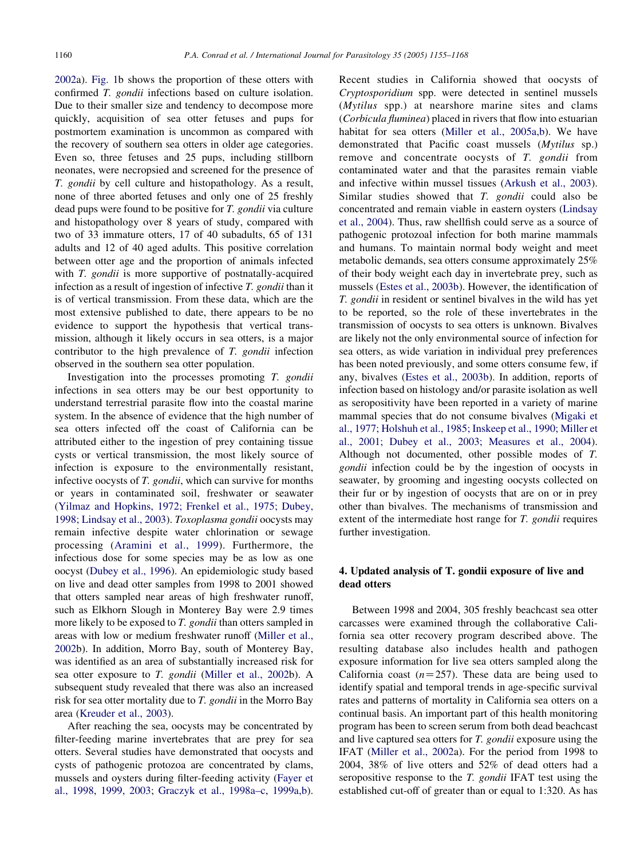[2002a](#page-12-0)). [Fig. 1](#page-4-0)b shows the proportion of these otters with confirmed T. gondii infections based on culture isolation. Due to their smaller size and tendency to decompose more quickly, acquisition of sea otter fetuses and pups for postmortem examination is uncommon as compared with the recovery of southern sea otters in older age categories. Even so, three fetuses and 25 pups, including stillborn neonates, were necropsied and screened for the presence of T. gondii by cell culture and histopathology. As a result, none of three aborted fetuses and only one of 25 freshly dead pups were found to be positive for T. gondii via culture and histopathology over 8 years of study, compared with two of 33 immature otters, 17 of 40 subadults, 65 of 131 adults and 12 of 40 aged adults. This positive correlation between otter age and the proportion of animals infected with *T. gondii* is more supportive of postnatally-acquired infection as a result of ingestion of infective T. gondii than it is of vertical transmission. From these data, which are the most extensive published to date, there appears to be no evidence to support the hypothesis that vertical transmission, although it likely occurs in sea otters, is a major contributor to the high prevalence of T. gondii infection observed in the southern sea otter population.

Investigation into the processes promoting T. gondii infections in sea otters may be our best opportunity to understand terrestrial parasite flow into the coastal marine system. In the absence of evidence that the high number of sea otters infected off the coast of California can be attributed either to the ingestion of prey containing tissue cysts or vertical transmission, the most likely source of infection is exposure to the environmentally resistant, infective oocysts of T. gondii, which can survive for months or years in contaminated soil, freshwater or seawater ([Yilmaz and Hopkins, 1972; Frenkel et al., 1975; Dubey,](#page-13-0) [1998; Lindsay et al., 2003\)](#page-13-0). Toxoplasma gondii oocysts may remain infective despite water chlorination or sewage processing ([Aramini et al., 1999](#page-10-0)). Furthermore, the infectious dose for some species may be as low as one oocyst [\(Dubey et al., 1996](#page-10-0)). An epidemiologic study based on live and dead otter samples from 1998 to 2001 showed that otters sampled near areas of high freshwater runoff, such as Elkhorn Slough in Monterey Bay were 2.9 times more likely to be exposed to T. *gondii* than otters sampled in areas with low or medium freshwater runoff [\(Miller et al.,](#page-12-0) [2002b](#page-12-0)). In addition, Morro Bay, south of Monterey Bay, was identified as an area of substantially increased risk for sea otter exposure to T. gondii [\(Miller et al., 2002](#page-12-0)b). A subsequent study revealed that there was also an increased risk for sea otter mortality due to T. gondii in the Morro Bay area ([Kreuder et al., 2003\)](#page-11-0).

After reaching the sea, oocysts may be concentrated by filter-feeding marine invertebrates that are prey for sea otters. Several studies have demonstrated that oocysts and cysts of pathogenic protozoa are concentrated by clams, mussels and oysters during filter-feeding activity [\(Fayer et](#page-10-0) [al., 1998,](#page-10-0) [1999, 2003;](#page-10-0) [Graczyk et al., 1998a–c,](#page-11-0) [1999a,b\)](#page-11-0). Recent studies in California showed that oocysts of Cryptosporidium spp. were detected in sentinel mussels (Mytilus spp.) at nearshore marine sites and clams (Corbicula fluminea) placed in rivers that flow into estuarian habitat for sea otters ([Miller et al., 2005a,b\)](#page-12-0). We have demonstrated that Pacific coast mussels (Mytilus sp.) remove and concentrate oocysts of T. gondii from contaminated water and that the parasites remain viable and infective within mussel tissues [\(Arkush et al., 2003\)](#page-10-0). Similar studies showed that T. gondii could also be concentrated and remain viable in eastern oysters [\(Lindsay](#page-12-0) [et al., 2004](#page-12-0)). Thus, raw shellfish could serve as a source of pathogenic protozoal infection for both marine mammals and humans. To maintain normal body weight and meet metabolic demands, sea otters consume approximately 25% of their body weight each day in invertebrate prey, such as mussels [\(Estes et al., 2003b](#page-10-0)). However, the identification of T. gondii in resident or sentinel bivalves in the wild has yet to be reported, so the role of these invertebrates in the transmission of oocysts to sea otters is unknown. Bivalves are likely not the only environmental source of infection for sea otters, as wide variation in individual prey preferences has been noted previously, and some otters consume few, if any, bivalves ([Estes et al., 2003b\)](#page-10-0). In addition, reports of infection based on histology and/or parasite isolation as well as seropositivity have been reported in a variety of marine mammal species that do not consume bivalves ([Migaki et](#page-12-0) [al., 1977; Holshuh et al., 1985; Inskeep et al., 1990; Miller et](#page-12-0) [al., 2001; Dubey et al., 2003; Measures et al., 2004\)](#page-12-0). Although not documented, other possible modes of T. gondii infection could be by the ingestion of oocysts in seawater, by grooming and ingesting oocysts collected on their fur or by ingestion of oocysts that are on or in prey other than bivalves. The mechanisms of transmission and extent of the intermediate host range for T. gondii requires further investigation.

# 4. Updated analysis of T. gondii exposure of live and dead otters

Between 1998 and 2004, 305 freshly beachcast sea otter carcasses were examined through the collaborative California sea otter recovery program described above. The resulting database also includes health and pathogen exposure information for live sea otters sampled along the California coast  $(n=257)$ . These data are being used to identify spatial and temporal trends in age-specific survival rates and patterns of mortality in California sea otters on a continual basis. An important part of this health monitoring program has been to screen serum from both dead beachcast and live captured sea otters for T. gondii exposure using the IFAT [\(Miller et al., 2002a](#page-12-0)). For the period from 1998 to 2004, 38% of live otters and 52% of dead otters had a seropositive response to the T. gondii IFAT test using the established cut-off of greater than or equal to 1:320. As has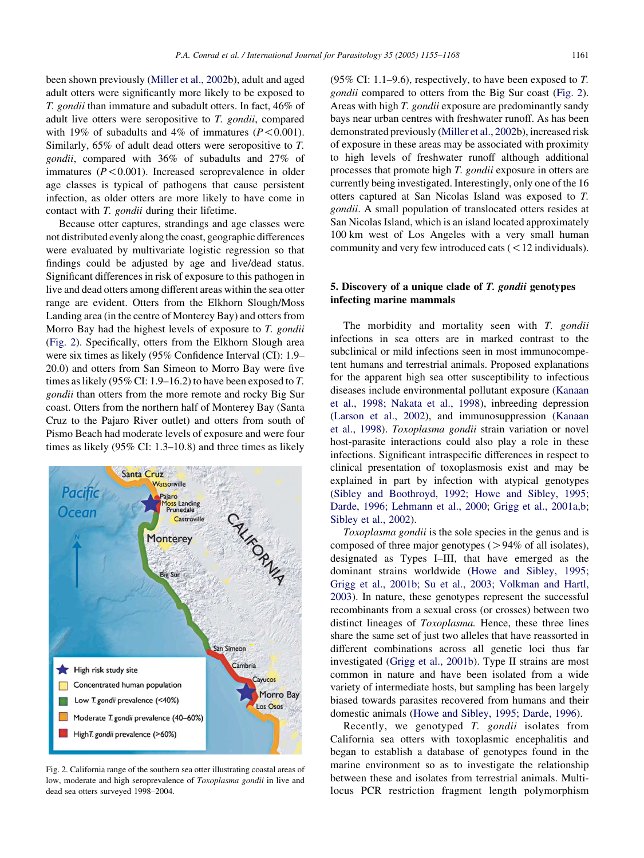been shown previously ([Miller et al., 2002b](#page-12-0)), adult and aged adult otters were significantly more likely to be exposed to T. gondii than immature and subadult otters. In fact, 46% of adult live otters were seropositive to T. gondii, compared with 19% of subadults and 4% of immatures  $(P<0.001)$ . Similarly, 65% of adult dead otters were seropositive to T. gondii, compared with 36% of subadults and 27% of immatures  $(P<0.001)$ . Increased seroprevalence in older age classes is typical of pathogens that cause persistent infection, as older otters are more likely to have come in contact with T. gondii during their lifetime.

Because otter captures, strandings and age classes were not distributed evenly along the coast, geographic differences were evaluated by multivariate logistic regression so that findings could be adjusted by age and live/dead status. Significant differences in risk of exposure to this pathogen in live and dead otters among different areas within the sea otter range are evident. Otters from the Elkhorn Slough/Moss Landing area (in the centre of Monterey Bay) and otters from Morro Bay had the highest levels of exposure to T. gondii (Fig. 2). Specifically, otters from the Elkhorn Slough area were six times as likely (95% Confidence Interval (CI): 1.9– 20.0) and otters from San Simeon to Morro Bay were five times as likely (95% CI: 1.9–16.2) to have been exposed to T. gondii than otters from the more remote and rocky Big Sur coast. Otters from the northern half of Monterey Bay (Santa Cruz to the Pajaro River outlet) and otters from south of Pismo Beach had moderate levels of exposure and were four times as likely (95% CI: 1.3–10.8) and three times as likely



Fig. 2. California range of the southern sea otter illustrating coastal areas of low, moderate and high seroprevalence of *Toxoplasma gondii* in live and dead sea otters surveyed 1998–2004.

(95% CI: 1.1–9.6), respectively, to have been exposed to  $T$ . gondii compared to otters from the Big Sur coast (Fig. 2). Areas with high T. gondii exposure are predominantly sandy bays near urban centres with freshwater runoff. As has been demonstrated previously [\(Miller et al., 2002b](#page-12-0)), increased risk of exposure in these areas may be associated with proximity to high levels of freshwater runoff although additional processes that promote high T. gondii exposure in otters are currently being investigated. Interestingly, only one of the 16 otters captured at San Nicolas Island was exposed to T. gondii. A small population of translocated otters resides at San Nicolas Island, which is an island located approximately 100 km west of Los Angeles with a very small human community and very few introduced cats  $(< 12$  individuals).

## 5. Discovery of a unique clade of T. gondii genotypes infecting marine mammals

The morbidity and mortality seen with T. gondii infections in sea otters are in marked contrast to the subclinical or mild infections seen in most immunocompetent humans and terrestrial animals. Proposed explanations for the apparent high sea otter susceptibility to infectious diseases include environmental pollutant exposure [\(Kanaan](#page-11-0) [et al., 1998; Nakata et al., 1998\)](#page-11-0), inbreeding depression ([Larson et al., 2002](#page-11-0)), and immunosuppression [\(Kanaan](#page-11-0) [et al., 1998\)](#page-11-0). Toxoplasma gondii strain variation or novel host-parasite interactions could also play a role in these infections. Significant intraspecific differences in respect to clinical presentation of toxoplasmosis exist and may be explained in part by infection with atypical genotypes ([Sibley and Boothroyd, 1992; Howe and Sibley, 1995;](#page-13-0) [Darde, 1996; Lehmann et al., 2000](#page-13-0); [Grigg et al., 2001a,b;](#page-11-0) [Sibley et al., 2002\)](#page-13-0).

Toxoplasma gondii is the sole species in the genus and is composed of three major genotypes ( $>94\%$  of all isolates), designated as Types I–III, that have emerged as the dominant strains worldwide ([Howe and Sibley, 1995;](#page-11-0) [Grigg et al., 2001b; Su et al., 2003; Volkman and Hartl,](#page-11-0) [2003](#page-11-0)). In nature, these genotypes represent the successful recombinants from a sexual cross (or crosses) between two distinct lineages of *Toxoplasma*. Hence, these three lines share the same set of just two alleles that have reassorted in different combinations across all genetic loci thus far investigated ([Grigg et al., 2001b\)](#page-11-0). Type II strains are most common in nature and have been isolated from a wide variety of intermediate hosts, but sampling has been largely biased towards parasites recovered from humans and their domestic animals [\(Howe and Sibley, 1995; Darde, 1996](#page-11-0)).

Recently, we genotyped T. gondii isolates from California sea otters with toxoplasmic encephalitis and began to establish a database of genotypes found in the marine environment so as to investigate the relationship between these and isolates from terrestrial animals. Multilocus PCR restriction fragment length polymorphism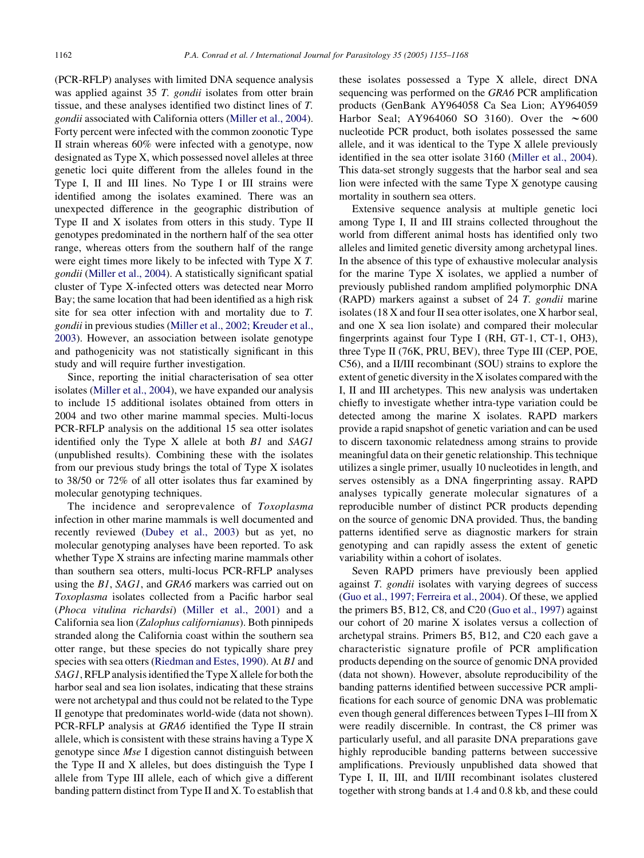(PCR-RFLP) analyses with limited DNA sequence analysis was applied against 35 T. *gondii* isolates from otter brain tissue, and these analyses identified two distinct lines of T. gondii associated with California otters ([Miller et al., 2004\)](#page-12-0). Forty percent were infected with the common zoonotic Type II strain whereas 60% were infected with a genotype, now designated as Type X, which possessed novel alleles at three genetic loci quite different from the alleles found in the Type I, II and III lines. No Type I or III strains were identified among the isolates examined. There was an unexpected difference in the geographic distribution of Type II and X isolates from otters in this study. Type II genotypes predominated in the northern half of the sea otter range, whereas otters from the southern half of the range were eight times more likely to be infected with Type X T. gondii ([Miller et al., 2004\)](#page-12-0). A statistically significant spatial cluster of Type X-infected otters was detected near Morro Bay; the same location that had been identified as a high risk site for sea otter infection with and mortality due to T. gondii in previous studies ([Miller et al., 2002; Kreuder et al.,](#page-12-0) [2003\)](#page-12-0). However, an association between isolate genotype and pathogenicity was not statistically significant in this study and will require further investigation.

Since, reporting the initial characterisation of sea otter isolates [\(Miller et al., 2004\)](#page-12-0), we have expanded our analysis to include 15 additional isolates obtained from otters in 2004 and two other marine mammal species. Multi-locus PCR-RFLP analysis on the additional 15 sea otter isolates identified only the Type X allele at both B1 and SAG1 (unpublished results). Combining these with the isolates from our previous study brings the total of Type X isolates to 38/50 or 72% of all otter isolates thus far examined by molecular genotyping techniques.

The incidence and seroprevalence of Toxoplasma infection in other marine mammals is well documented and recently reviewed [\(Dubey et al., 2003\)](#page-10-0) but as yet, no molecular genotyping analyses have been reported. To ask whether Type X strains are infecting marine mammals other than southern sea otters, multi-locus PCR-RFLP analyses using the B1, SAG1, and GRA6 markers was carried out on Toxoplasma isolates collected from a Pacific harbor seal (Phoca vitulina richardsi) [\(Miller et al., 2001\)](#page-12-0) and a California sea lion (Zalophus californianus). Both pinnipeds stranded along the California coast within the southern sea otter range, but these species do not typically share prey species with sea otters [\(Riedman and Estes, 1990\)](#page-12-0). At B1 and SAG1, RFLP analysis identified the Type X allele for both the harbor seal and sea lion isolates, indicating that these strains were not archetypal and thus could not be related to the Type II genotype that predominates world-wide (data not shown). PCR-RFLP analysis at GRA6 identified the Type II strain allele, which is consistent with these strains having a Type X genotype since Mse I digestion cannot distinguish between the Type II and X alleles, but does distinguish the Type I allele from Type III allele, each of which give a different banding pattern distinct from Type II and X. To establish that

these isolates possessed a Type X allele, direct DNA sequencing was performed on the GRA6 PCR amplification products (GenBank AY964058 Ca Sea Lion; AY964059 Harbor Seal; AY964060 SO 3160). Over the  $\sim 600$ nucleotide PCR product, both isolates possessed the same allele, and it was identical to the Type X allele previously identified in the sea otter isolate 3160 [\(Miller et al., 2004\)](#page-12-0). This data-set strongly suggests that the harbor seal and sea lion were infected with the same Type X genotype causing mortality in southern sea otters.

Extensive sequence analysis at multiple genetic loci among Type I, II and III strains collected throughout the world from different animal hosts has identified only two alleles and limited genetic diversity among archetypal lines. In the absence of this type of exhaustive molecular analysis for the marine Type X isolates, we applied a number of previously published random amplified polymorphic DNA (RAPD) markers against a subset of 24 T. gondii marine isolates (18 X and four II sea otter isolates, one X harbor seal, and one X sea lion isolate) and compared their molecular fingerprints against four Type I (RH, GT-1, CT-1, OH3), three Type II (76K, PRU, BEV), three Type III (CEP, POE, C56), and a II/III recombinant (SOU) strains to explore the extent of genetic diversity in the X isolates compared with the I, II and III archetypes. This new analysis was undertaken chiefly to investigate whether intra-type variation could be detected among the marine X isolates. RAPD markers provide a rapid snapshot of genetic variation and can be used to discern taxonomic relatedness among strains to provide meaningful data on their genetic relationship. This technique utilizes a single primer, usually 10 nucleotides in length, and serves ostensibly as a DNA fingerprinting assay. RAPD analyses typically generate molecular signatures of a reproducible number of distinct PCR products depending on the source of genomic DNA provided. Thus, the banding patterns identified serve as diagnostic markers for strain genotyping and can rapidly assess the extent of genetic variability within a cohort of isolates.

Seven RAPD primers have previously been applied against T. gondii isolates with varying degrees of success ([Guo et al., 1997; Ferreira et al., 2004](#page-11-0)). Of these, we applied the primers B5, B12, C8, and C20 ([Guo et al., 1997\)](#page-11-0) against our cohort of 20 marine X isolates versus a collection of archetypal strains. Primers B5, B12, and C20 each gave a characteristic signature profile of PCR amplification products depending on the source of genomic DNA provided (data not shown). However, absolute reproducibility of the banding patterns identified between successive PCR amplifications for each source of genomic DNA was problematic even though general differences between Types I–III from X were readily discernible. In contrast, the C8 primer was particularly useful, and all parasite DNA preparations gave highly reproducible banding patterns between successive amplifications. Previously unpublished data showed that Type I, II, III, and II/III recombinant isolates clustered together with strong bands at 1.4 and 0.8 kb, and these could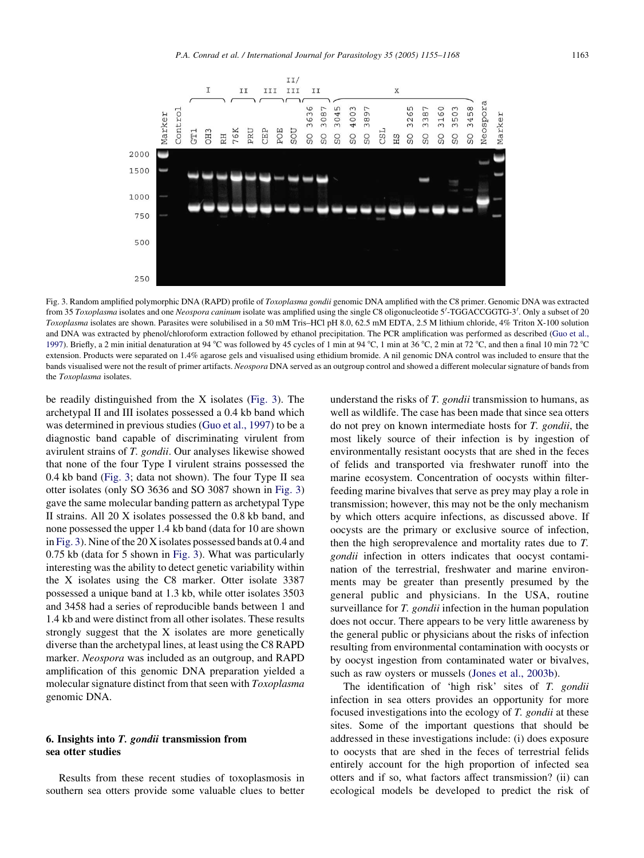

Fig. 3. Random amplified polymorphic DNA (RAPD) profile of Toxoplasma gondii genomic DNA amplified with the C8 primer. Genomic DNA was extracted from 35 Toxoplasma isolates and one Neospora caninum isolate was amplified using the single C8 oligonucleotide 5'-TGGACCGGTG-3'. Only a subset of 20 Toxoplasma isolates are shown. Parasites were solubilised in a 50 mM Tris–HCl pH 8.0, 62.5 mM EDTA, 2.5 M lithium chloride, 4% Triton X-100 solution and DNA was extracted by phenol/chloroform extraction followed by ethanol precipitation. The PCR amplification was performed as described ([Guo et al.,](#page-11-0) [1997](#page-11-0)). Briefly, a 2 min initial denaturation at 94 °C was followed by 45 cycles of 1 min at 94 °C, 1 min at 36 °C, 2 min at 72 °C, and then a final 10 min 72 °C extension. Products were separated on 1.4% agarose gels and visualised using ethidium bromide. A nil genomic DNA control was included to ensure that the bands visualised were not the result of primer artifacts. Neospora DNA served as an outgroup control and showed a different molecular signature of bands from the Toxoplasma isolates.

be readily distinguished from the X isolates (Fig. 3). The archetypal II and III isolates possessed a 0.4 kb band which was determined in previous studies [\(Guo et al., 1997](#page-11-0)) to be a diagnostic band capable of discriminating virulent from avirulent strains of T. gondii. Our analyses likewise showed that none of the four Type I virulent strains possessed the 0.4 kb band (Fig. 3; data not shown). The four Type II sea otter isolates (only SO 3636 and SO 3087 shown in Fig. 3) gave the same molecular banding pattern as archetypal Type II strains. All 20 X isolates possessed the 0.8 kb band, and none possessed the upper 1.4 kb band (data for 10 are shown in Fig. 3). Nine of the 20 X isolates possessed bands at 0.4 and 0.75 kb (data for 5 shown in Fig. 3). What was particularly interesting was the ability to detect genetic variability within the X isolates using the C8 marker. Otter isolate 3387 possessed a unique band at 1.3 kb, while otter isolates 3503 and 3458 had a series of reproducible bands between 1 and 1.4 kb and were distinct from all other isolates. These results strongly suggest that the X isolates are more genetically diverse than the archetypal lines, at least using the C8 RAPD marker. Neospora was included as an outgroup, and RAPD amplification of this genomic DNA preparation yielded a molecular signature distinct from that seen with Toxoplasma genomic DNA.

## 6. Insights into T. gondii transmission from sea otter studies

Results from these recent studies of toxoplasmosis in southern sea otters provide some valuable clues to better

understand the risks of T. *gondii* transmission to humans, as well as wildlife. The case has been made that since sea otters do not prey on known intermediate hosts for T. gondii, the most likely source of their infection is by ingestion of environmentally resistant oocysts that are shed in the feces of felids and transported via freshwater runoff into the marine ecosystem. Concentration of oocysts within filterfeeding marine bivalves that serve as prey may play a role in transmission; however, this may not be the only mechanism by which otters acquire infections, as discussed above. If oocysts are the primary or exclusive source of infection, then the high seroprevalence and mortality rates due to T. gondii infection in otters indicates that oocyst contamination of the terrestrial, freshwater and marine environments may be greater than presently presumed by the general public and physicians. In the USA, routine surveillance for T. gondii infection in the human population does not occur. There appears to be very little awareness by the general public or physicians about the risks of infection resulting from environmental contamination with oocysts or by oocyst ingestion from contaminated water or bivalves, such as raw oysters or mussels ([Jones et al., 2003b](#page-11-0)).

The identification of 'high risk' sites of T. gondii infection in sea otters provides an opportunity for more focused investigations into the ecology of T. gondii at these sites. Some of the important questions that should be addressed in these investigations include: (i) does exposure to oocysts that are shed in the feces of terrestrial felids entirely account for the high proportion of infected sea otters and if so, what factors affect transmission? (ii) can ecological models be developed to predict the risk of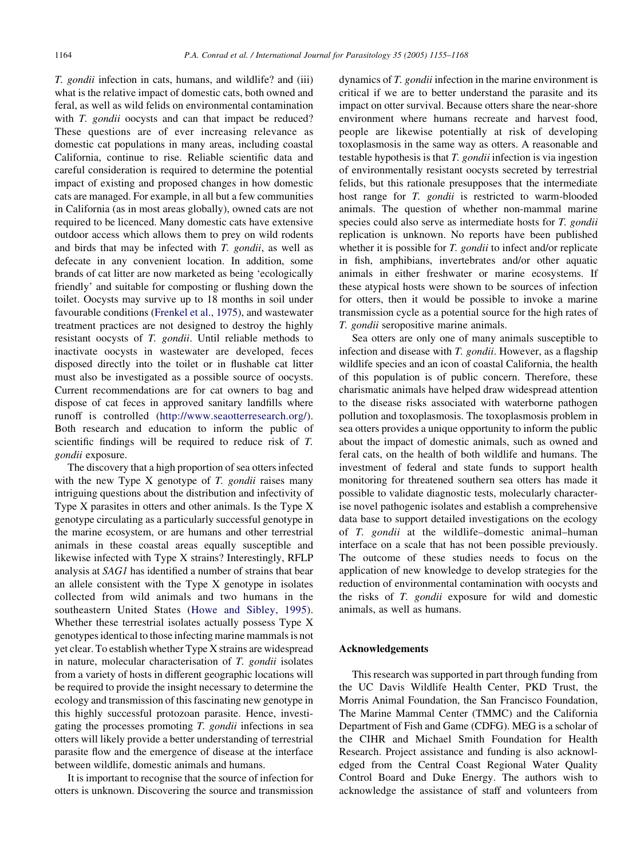T. gondii infection in cats, humans, and wildlife? and (iii) what is the relative impact of domestic cats, both owned and feral, as well as wild felids on environmental contamination with *T. gondii* oocysts and can that impact be reduced? These questions are of ever increasing relevance as domestic cat populations in many areas, including coastal California, continue to rise. Reliable scientific data and careful consideration is required to determine the potential impact of existing and proposed changes in how domestic cats are managed. For example, in all but a few communities in California (as in most areas globally), owned cats are not required to be licenced. Many domestic cats have extensive outdoor access which allows them to prey on wild rodents and birds that may be infected with T. gondii, as well as defecate in any convenient location. In addition, some brands of cat litter are now marketed as being 'ecologically friendly' and suitable for composting or flushing down the toilet. Oocysts may survive up to 18 months in soil under favourable conditions [\(Frenkel et al., 1975\)](#page-11-0), and wastewater treatment practices are not designed to destroy the highly resistant oocysts of T. gondii. Until reliable methods to inactivate oocysts in wastewater are developed, feces disposed directly into the toilet or in flushable cat litter must also be investigated as a possible source of oocysts. Current recommendations are for cat owners to bag and dispose of cat feces in approved sanitary landfills where runoff is controlled ([http://www.seaotterresearch.org/\)](http://www.seaotterresearch.org/). Both research and education to inform the public of scientific findings will be required to reduce risk of T. gondii exposure.

The discovery that a high proportion of sea otters infected with the new Type  $X$  genotype of  $T$ . *gondii* raises many intriguing questions about the distribution and infectivity of Type X parasites in otters and other animals. Is the Type X genotype circulating as a particularly successful genotype in the marine ecosystem, or are humans and other terrestrial animals in these coastal areas equally susceptible and likewise infected with Type X strains? Interestingly, RFLP analysis at SAG1 has identified a number of strains that bear an allele consistent with the Type X genotype in isolates collected from wild animals and two humans in the southeastern United States ([Howe and Sibley, 1995\)](#page-11-0). Whether these terrestrial isolates actually possess Type X genotypes identical to those infecting marine mammals is not yet clear. To establish whether Type X strains are widespread in nature, molecular characterisation of T. gondii isolates from a variety of hosts in different geographic locations will be required to provide the insight necessary to determine the ecology and transmission of this fascinating new genotype in this highly successful protozoan parasite. Hence, investigating the processes promoting T. gondii infections in sea otters will likely provide a better understanding of terrestrial parasite flow and the emergence of disease at the interface between wildlife, domestic animals and humans.

It is important to recognise that the source of infection for otters is unknown. Discovering the source and transmission

dynamics of T. gondii infection in the marine environment is critical if we are to better understand the parasite and its impact on otter survival. Because otters share the near-shore environment where humans recreate and harvest food, people are likewise potentially at risk of developing toxoplasmosis in the same way as otters. A reasonable and testable hypothesis is that T. gondii infection is via ingestion of environmentally resistant oocysts secreted by terrestrial felids, but this rationale presupposes that the intermediate host range for T. *gondii* is restricted to warm-blooded animals. The question of whether non-mammal marine species could also serve as intermediate hosts for T. gondii replication is unknown. No reports have been published whether it is possible for T. *gondii* to infect and/or replicate in fish, amphibians, invertebrates and/or other aquatic animals in either freshwater or marine ecosystems. If these atypical hosts were shown to be sources of infection for otters, then it would be possible to invoke a marine transmission cycle as a potential source for the high rates of T. gondii seropositive marine animals.

Sea otters are only one of many animals susceptible to infection and disease with T. gondii. However, as a flagship wildlife species and an icon of coastal California, the health of this population is of public concern. Therefore, these charismatic animals have helped draw widespread attention to the disease risks associated with waterborne pathogen pollution and toxoplasmosis. The toxoplasmosis problem in sea otters provides a unique opportunity to inform the public about the impact of domestic animals, such as owned and feral cats, on the health of both wildlife and humans. The investment of federal and state funds to support health monitoring for threatened southern sea otters has made it possible to validate diagnostic tests, molecularly characterise novel pathogenic isolates and establish a comprehensive data base to support detailed investigations on the ecology of T. gondii at the wildlife–domestic animal–human interface on a scale that has not been possible previously. The outcome of these studies needs to focus on the application of new knowledge to develop strategies for the reduction of environmental contamination with oocysts and the risks of T. gondii exposure for wild and domestic animals, as well as humans.

#### Acknowledgements

This research was supported in part through funding from the UC Davis Wildlife Health Center, PKD Trust, the Morris Animal Foundation, the San Francisco Foundation, The Marine Mammal Center (TMMC) and the California Department of Fish and Game (CDFG). MEG is a scholar of the CIHR and Michael Smith Foundation for Health Research. Project assistance and funding is also acknowledged from the Central Coast Regional Water Quality Control Board and Duke Energy. The authors wish to acknowledge the assistance of staff and volunteers from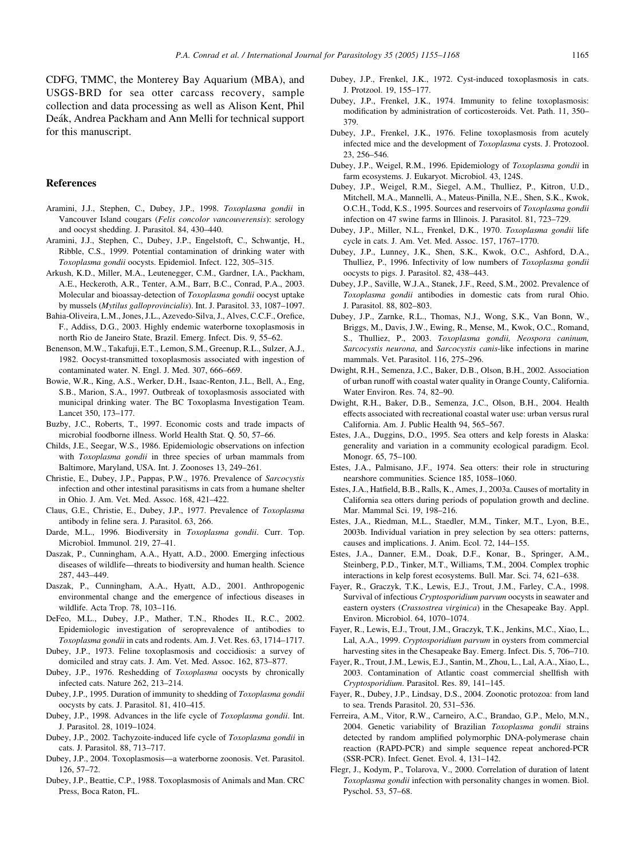<span id="page-10-0"></span>CDFG, TMMC, the Monterey Bay Aquarium (MBA), and USGS-BRD for sea otter carcass recovery, sample collection and data processing as well as Alison Kent, Phil Deák, Andrea Packham and Ann Melli for technical support for this manuscript.

## References

- Aramini, J.J., Stephen, C., Dubey, J.P., 1998. Toxoplasma gondii in Vancouver Island cougars (Felis concolor vancouverensis): serology and oocyst shedding. J. Parasitol. 84, 430–440.
- Aramini, J.J., Stephen, C., Dubey, J.P., Engelstoft, C., Schwantje, H., Ribble, C.S., 1999. Potential contamination of drinking water with Toxoplasma gondii oocysts. Epidemiol. Infect. 122, 305–315.
- Arkush, K.D., Miller, M.A., Leutenegger, C.M., Gardner, I.A., Packham, A.E., Heckeroth, A.R., Tenter, A.M., Barr, B.C., Conrad, P.A., 2003. Molecular and bioassay-detection of Toxoplasma gondii oocyst uptake by mussels (Mytilus galloprovincialis). Int. J. Parasitol. 33, 1087–1097.
- Bahia-Oliveira, L.M., Jones, J.L., Azevedo-Silva, J., Alves, C.C.F., Orefice, F., Addiss, D.G., 2003. Highly endemic waterborne toxoplasmosis in north Rio de Janeiro State, Brazil. Emerg. Infect. Dis. 9, 55–62.
- Benenson, M.W., Takafuji, E.T., Lemon, S.M., Greenup, R.L., Sulzer, A.J., 1982. Oocyst-transmitted toxoplasmosis associated with ingestion of contaminated water. N. Engl. J. Med. 307, 666–669.
- Bowie, W.R., King, A.S., Werker, D.H., Isaac-Renton, J.L., Bell, A., Eng, S.B., Marion, S.A., 1997. Outbreak of toxoplasmosis associated with municipal drinking water. The BC Toxoplasma Investigation Team. Lancet 350, 173–177.
- Buzby, J.C., Roberts, T., 1997. Economic costs and trade impacts of microbial foodborne illness. World Health Stat. Q. 50, 57–66.
- Childs, J.E., Seegar, W.S., 1986. Epidemiologic observations on infection with Toxoplasma gondii in three species of urban mammals from Baltimore, Maryland, USA. Int. J. Zoonoses 13, 249–261.
- Christie, E., Dubey, J.P., Pappas, P.W., 1976. Prevalence of Sarcocystis infection and other intestinal parasitisms in cats from a humane shelter in Ohio. J. Am. Vet. Med. Assoc. 168, 421–422.
- Claus, G.E., Christie, E., Dubey, J.P., 1977. Prevalence of Toxoplasma antibody in feline sera. J. Parasitol. 63, 266.
- Darde, M.L., 1996. Biodiversity in Toxoplasma gondii. Curr. Top. Microbiol. Immunol. 219, 27–41.
- Daszak, P., Cunningham, A.A., Hyatt, A.D., 2000. Emerging infectious diseases of wildlife—threats to biodiversity and human health. Science 287, 443–449.
- Daszak, P., Cunningham, A.A., Hyatt, A.D., 2001. Anthropogenic environmental change and the emergence of infectious diseases in wildlife. Acta Trop. 78, 103–116.
- DeFeo, M.L., Dubey, J.P., Mather, T.N., Rhodes II., R.C., 2002. Epidemiologic investigation of seroprevalence of antibodies to Toxoplasma gondii in cats and rodents. Am. J. Vet. Res. 63, 1714–1717.
- Dubey, J.P., 1973. Feline toxoplasmosis and coccidiosis: a survey of domiciled and stray cats. J. Am. Vet. Med. Assoc. 162, 873–877.
- Dubey, J.P., 1976. Reshedding of Toxoplasma oocysts by chronically infected cats. Nature 262, 213–214.
- Dubey, J.P., 1995. Duration of immunity to shedding of Toxoplasma gondii oocysts by cats. J. Parasitol. 81, 410–415.
- Dubey, J.P., 1998. Advances in the life cycle of Toxoplasma gondii. Int. J. Parasitol. 28, 1019–1024.
- Dubey, J.P., 2002. Tachyzoite-induced life cycle of Toxoplasma gondii in cats. J. Parasitol. 88, 713–717.
- Dubey, J.P., 2004. Toxoplasmosis—a waterborne zoonosis. Vet. Parasitol. 126, 57–72.
- Dubey, J.P., Beattie, C.P., 1988. Toxoplasmosis of Animals and Man. CRC Press, Boca Raton, FL.
- Dubey, J.P., Frenkel, J.K., 1972. Cyst-induced toxoplasmosis in cats. J. Protzool. 19, 155–177.
- Dubey, J.P., Frenkel, J.K., 1974. Immunity to feline toxoplasmosis: modification by administration of corticosteroids. Vet. Path. 11, 350– 379.
- Dubey, J.P., Frenkel, J.K., 1976. Feline toxoplasmosis from acutely infected mice and the development of Toxoplasma cysts. J. Protozool. 23, 256–546.
- Dubey, J.P., Weigel, R.M., 1996. Epidemiology of Toxoplasma gondii in farm ecosystems. J. Eukaryot. Microbiol. 43, 124S.
- Dubey, J.P., Weigel, R.M., Siegel, A.M., Thulliez, P., Kitron, U.D., Mitchell, M.A., Mannelli, A., Mateus-Pinilla, N.E., Shen, S.K., Kwok, O.C.H., Todd, K.S., 1995. Sources and reservoirs of Toxoplasma gondii infection on 47 swine farms in Illinois. J. Parasitol. 81, 723–729.
- Dubey, J.P., Miller, N.L., Frenkel, D.K., 1970. Toxoplasma gondii life cycle in cats. J. Am. Vet. Med. Assoc. 157, 1767–1770.
- Dubey, J.P., Lunney, J.K., Shen, S.K., Kwok, O.C., Ashford, D.A., Thulliez, P., 1996. Infectivity of low numbers of Toxoplasma gondii oocysts to pigs. J. Parasitol. 82, 438–443.
- Dubey, J.P., Saville, W.J.A., Stanek, J.F., Reed, S.M., 2002. Prevalence of Toxoplasma gondii antibodies in domestic cats from rural Ohio. J. Parasitol. 88, 802–803.
- Dubey, J.P., Zarnke, R.L., Thomas, N.J., Wong, S.K., Van Bonn, W., Briggs, M., Davis, J.W., Ewing, R., Mense, M., Kwok, O.C., Romand, S., Thulliez, P., 2003. Toxoplasma gondii, Neospora caninum, Sarcocystis neurona, and Sarcocystis canis-like infections in marine mammals. Vet. Parasitol. 116, 275–296.
- Dwight, R.H., Semenza, J.C., Baker, D.B., Olson, B.H., 2002. Association of urban runoff with coastal water quality in Orange County, California. Water Environ. Res. 74, 82–90.
- Dwight, R.H., Baker, D.B., Semenza, J.C., Olson, B.H., 2004. Health effects associated with recreational coastal water use: urban versus rural California. Am. J. Public Health 94, 565–567.
- Estes, J.A., Duggins, D.O., 1995. Sea otters and kelp forests in Alaska: generality and variation in a community ecological paradigm. Ecol. Monogr. 65, 75–100.
- Estes, J.A., Palmisano, J.F., 1974. Sea otters: their role in structuring nearshore communities. Science 185, 1058–1060.
- Estes, J.A., Hatfield, B.B., Ralls, K., Ames, J., 2003a. Causes of mortality in California sea otters during periods of population growth and decline. Mar. Mammal Sci. 19, 198–216.
- Estes, J.A., Riedman, M.L., Staedler, M.M., Tinker, M.T., Lyon, B.E., 2003b. Individual variation in prey selection by sea otters: patterns, causes and implications. J. Anim. Ecol. 72, 144–155.
- Estes, J.A., Danner, E.M., Doak, D.F., Konar, B., Springer, A.M., Steinberg, P.D., Tinker, M.T., Williams, T.M., 2004. Complex trophic interactions in kelp forest ecosystems. Bull. Mar. Sci. 74, 621–638.
- Fayer, R., Graczyk, T.K., Lewis, E.J., Trout, J.M., Farley, C.A., 1998. Survival of infectious Cryptosporidium parvum oocysts in seawater and eastern oysters (Crassostrea virginica) in the Chesapeake Bay. Appl. Environ. Microbiol. 64, 1070–1074.
- Fayer, R., Lewis, E.J., Trout, J.M., Graczyk, T.K., Jenkins, M.C., Xiao, L., Lal, A.A., 1999. Cryptosporidium parvum in oysters from commercial harvesting sites in the Chesapeake Bay. Emerg. Infect. Dis. 5, 706–710.
- Fayer, R., Trout, J.M., Lewis, E.J., Santin, M., Zhou, L., Lal, A.A., Xiao, L., 2003. Contamination of Atlantic coast commercial shellfish with Cryptosporidium. Parasitol. Res. 89, 141–145.
- Fayer, R., Dubey, J.P., Lindsay, D.S., 2004. Zoonotic protozoa: from land to sea. Trends Parasitol. 20, 531–536.
- Ferreira, A.M., Vitor, R.W., Carneiro, A.C., Brandao, G.P., Melo, M.N., 2004. Genetic variability of Brazilian Toxoplasma gondii strains detected by random amplified polymorphic DNA-polymerase chain reaction (RAPD-PCR) and simple sequence repeat anchored-PCR (SSR-PCR). Infect. Genet. Evol. 4, 131–142.
- Flegr, J., Kodym, P., Tolarova, V., 2000. Correlation of duration of latent Toxoplasma gondii infection with personality changes in women. Biol. Pyschol. 53, 57–68.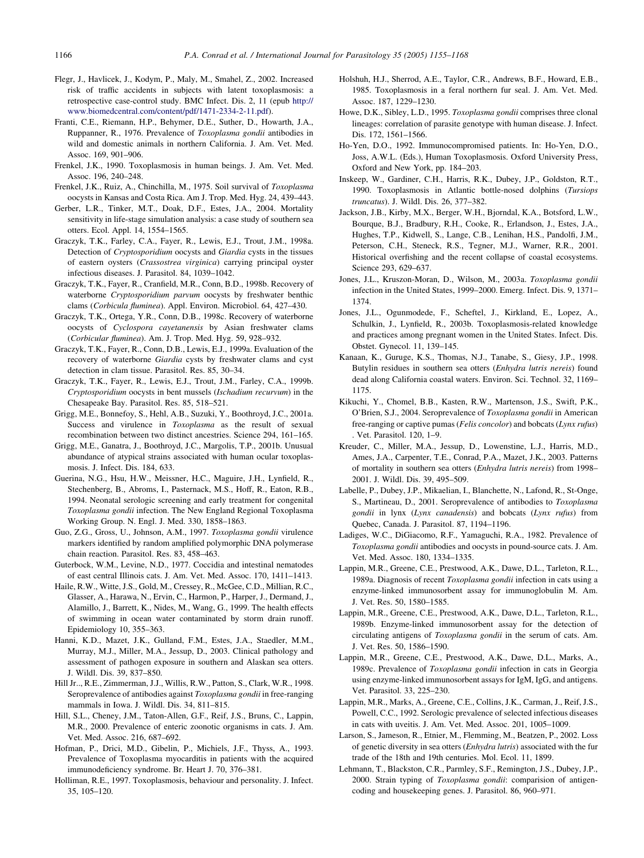- <span id="page-11-0"></span>Flegr, J., Havlicek, J., Kodym, P., Maly, M., Smahel, Z., 2002. Increased risk of traffic accidents in subjects with latent toxoplasmosis: a retrospective case-control study. BMC Infect. Dis. 2, 11 (epub [http://](http://www.biomedcentral.com/content/pdf/1471-2334-2-11.pdf) [www.biomedcentral.com/content/pdf/1471-2334-2-11.pdf](http://www.biomedcentral.com/content/pdf/1471-2334-2-11.pdf)).
- Franti, C.E., Riemann, H.P., Behymer, D.E., Suther, D., Howarth, J.A., Ruppanner, R., 1976. Prevalence of Toxoplasma gondii antibodies in wild and domestic animals in northern California. J. Am. Vet. Med. Assoc. 169, 901–906.
- Frenkel, J.K., 1990. Toxoplasmosis in human beings. J. Am. Vet. Med. Assoc. 196, 240–248.
- Frenkel, J.K., Ruiz, A., Chinchilla, M., 1975. Soil survival of Toxoplasma oocysts in Kansas and Costa Rica. Am J. Trop. Med. Hyg. 24, 439–443.
- Gerber, L.R., Tinker, M.T., Doak, D.F., Estes, J.A., 2004. Mortality sensitivity in life-stage simulation analysis: a case study of southern sea otters. Ecol. Appl. 14, 1554–1565.
- Graczyk, T.K., Farley, C.A., Fayer, R., Lewis, E.J., Trout, J.M., 1998a. Detection of Cryptosporidium oocysts and Giardia cysts in the tissues of eastern oysters (Crassostrea virginica) carrying principal oyster infectious diseases. J. Parasitol. 84, 1039–1042.
- Graczyk, T.K., Fayer, R., Cranfield, M.R., Conn, B.D., 1998b. Recovery of waterborne Cryptosporidium parvum oocysts by freshwater benthic clams (Corbicula fluminea). Appl. Environ. Microbiol. 64, 427–430.
- Graczyk, T.K., Ortega, Y.R., Conn, D.B., 1998c. Recovery of waterborne oocysts of Cyclospora cayetanensis by Asian freshwater clams (Corbicular fluminea). Am. J. Trop. Med. Hyg. 59, 928–932.
- Graczyk, T.K., Fayer, R., Conn, D.B., Lewis, E.J., 1999a. Evaluation of the recovery of waterborne Giardia cysts by freshwater clams and cyst detection in clam tissue. Parasitol. Res. 85, 30–34.
- Graczyk, T.K., Fayer, R., Lewis, E.J., Trout, J.M., Farley, C.A., 1999b. Cryptosporidium oocysts in bent mussels (Ischadium recurvum) in the Chesapeake Bay. Parasitol. Res. 85, 518–521.
- Grigg, M.E., Bonnefoy, S., Hehl, A.B., Suzuki, Y., Boothroyd, J.C., 2001a. Success and virulence in Toxoplasma as the result of sexual recombination between two distinct ancestries. Science 294, 161–165.
- Grigg, M.E., Ganatra, J., Boothroyd, J.C., Margolis, T.P., 2001b. Unusual abundance of atypical strains associated with human ocular toxoplasmosis. J. Infect. Dis. 184, 633.
- Guerina, N.G., Hsu, H.W., Meissner, H.C., Maguire, J.H., Lynfield, R., Stechenberg, B., Abroms, I., Pasternack, M.S., Hoff, R., Eaton, R.B., 1994. Neonatal serologic screening and early treatment for congenital Toxoplasma gondii infection. The New England Regional Toxoplasma Working Group. N. Engl. J. Med. 330, 1858–1863.
- Guo, Z.G., Gross, U., Johnson, A.M., 1997. Toxoplasma gondii virulence markers identified by random amplified polymorphic DNA polymerase chain reaction. Parasitol. Res. 83, 458–463.
- Guterbock, W.M., Levine, N.D., 1977. Coccidia and intestinal nematodes of east central Illinois cats. J. Am. Vet. Med. Assoc. 170, 1411–1413.
- Haile, R.W., Witte, J.S., Gold, M., Cressey, R., McGee, C.D., Millian, R.C., Glasser, A., Harawa, N., Ervin, C., Harmon, P., Harper, J., Dermand, J., Alamillo, J., Barrett, K., Nides, M., Wang, G., 1999. The health effects of swimming in ocean water contaminated by storm drain runoff. Epidemiology 10, 355–363.
- Hanni, K.D., Mazet, J.K., Gulland, F.M., Estes, J.A., Staedler, M.M., Murray, M.J., Miller, M.A., Jessup, D., 2003. Clinical pathology and assessment of pathogen exposure in southern and Alaskan sea otters. J. Wildl. Dis. 39, 837–850.
- Hill Jr.., R.E., Zimmerman, J.J., Willis, R.W., Patton, S., Clark, W.R., 1998. Seroprevalence of antibodies against Toxoplasma gondii in free-ranging mammals in Iowa. J. Wildl. Dis. 34, 811–815.
- Hill, S.L., Cheney, J.M., Taton-Allen, G.F., Reif, J.S., Bruns, C., Lappin, M.R., 2000. Prevalence of enteric zoonotic organisms in cats. J. Am. Vet. Med. Assoc. 216, 687–692.
- Hofman, P., Drici, M.D., Gibelin, P., Michiels, J.F., Thyss, A., 1993. Prevalence of Toxoplasma myocarditis in patients with the acquired immunodeficiency syndrome. Br. Heart J. 70, 376–381.
- Holliman, R.E., 1997. Toxoplasmosis, behaviour and personality. J. Infect. 35, 105–120.
- Holshuh, H.J., Sherrod, A.E., Taylor, C.R., Andrews, B.F., Howard, E.B., 1985. Toxoplasmosis in a feral northern fur seal. J. Am. Vet. Med. Assoc. 187, 1229–1230.
- Howe, D.K., Sibley, L.D., 1995. Toxoplasma gondii comprises three clonal lineages: correlation of parasite genotype with human disease. J. Infect. Dis. 172, 1561–1566.
- Ho-Yen, D.O., 1992. Immunocompromised patients. In: Ho-Yen, D.O., Joss, A.W.L. (Eds.), Human Toxoplasmosis. Oxford University Press, Oxford and New York, pp. 184–203.
- Inskeep, W., Gardiner, C.H., Harris, R.K., Dubey, J.P., Goldston, R.T., 1990. Toxoplasmosis in Atlantic bottle-nosed dolphins (Tursiops truncatus). J. Wildl. Dis. 26, 377–382.
- Jackson, J.B., Kirby, M.X., Berger, W.H., Bjorndal, K.A., Botsford, L.W., Bourque, B.J., Bradbury, R.H., Cooke, R., Erlandson, J., Estes, J.A., Hughes, T.P., Kidwell, S., Lange, C.B., Lenihan, H.S., Pandolfi, J.M., Peterson, C.H., Steneck, R.S., Tegner, M.J., Warner, R.R., 2001. Historical overfishing and the recent collapse of coastal ecosystems. Science 293, 629–637.
- Jones, J.L., Kruszon-Moran, D., Wilson, M., 2003a. Toxoplasma gondii infection in the United States, 1999–2000. Emerg. Infect. Dis. 9, 1371– 1374.
- Jones, J.L., Ogunmodede, F., Scheftel, J., Kirkland, E., Lopez, A., Schulkin, J., Lynfield, R., 2003b. Toxoplasmosis-related knowledge and practices among pregnant women in the United States. Infect. Dis. Obstet. Gynecol. 11, 139–145.
- Kanaan, K., Guruge, K.S., Thomas, N.J., Tanabe, S., Giesy, J.P., 1998. Butylin residues in southern sea otters (Enhydra lutris nereis) found dead along California coastal waters. Environ. Sci. Technol. 32, 1169– 1175.
- Kikuchi, Y., Chomel, B.B., Kasten, R.W., Martenson, J.S., Swift, P.K., O'Brien, S.J., 2004. Seroprevalence of Toxoplasma gondii in American free-ranging or captive pumas (Felis concolor) and bobcats (Lynx rufus) . Vet. Parasitol. 120, 1–9.
- Kreuder, C., Miller, M.A., Jessup, D., Lowenstine, L.J., Harris, M.D., Ames, J.A., Carpenter, T.E., Conrad, P.A., Mazet, J.K., 2003. Patterns of mortality in southern sea otters (Enhydra lutris nereis) from 1998– 2001. J. Wildl. Dis. 39, 495–509.
- Labelle, P., Dubey, J.P., Mikaelian, I., Blanchette, N., Lafond, R., St-Onge, S., Martineau, D., 2001. Seroprevalence of antibodies to Toxoplasma gondii in lynx (Lynx canadensis) and bobcats (Lynx rufus) from Quebec, Canada. J. Parasitol. 87, 1194–1196.
- Ladiges, W.C., DiGiacomo, R.F., Yamaguchi, R.A., 1982. Prevalence of Toxoplasma gondii antibodies and oocysts in pound-source cats. J. Am. Vet. Med. Assoc. 180, 1334–1335.
- Lappin, M.R., Greene, C.E., Prestwood, A.K., Dawe, D.L., Tarleton, R.L., 1989a. Diagnosis of recent Toxoplasma gondii infection in cats using a enzyme-linked immunosorbent assay for immunoglobulin M. Am. J. Vet. Res. 50, 1580–1585.
- Lappin, M.R., Greene, C.E., Prestwood, A.K., Dawe, D.L., Tarleton, R.L., 1989b. Enzyme-linked immunosorbent assay for the detection of circulating antigens of Toxoplasma gondii in the serum of cats. Am. J. Vet. Res. 50, 1586–1590.
- Lappin, M.R., Greene, C.E., Prestwood, A.K., Dawe, D.L., Marks, A., 1989c. Prevalence of Toxoplasma gondii infection in cats in Georgia using enzyme-linked immunosorbent assays for IgM, IgG, and antigens. Vet. Parasitol. 33, 225–230.
- Lappin, M.R., Marks, A., Greene, C.E., Collins, J.K., Carman, J., Reif, J.S., Powell, C.C., 1992. Serologic prevalence of selected infectious diseases in cats with uveitis. J. Am. Vet. Med. Assoc. 201, 1005–1009.
- Larson, S., Jameson, R., Etnier, M., Flemming, M., Beatzen, P., 2002. Loss of genetic diversity in sea otters (Enhydra lutris) associated with the fur trade of the 18th and 19th centuries. Mol. Ecol. 11, 1899.
- Lehmann, T., Blackston, C.R., Parmley, S.F., Remington, J.S., Dubey, J.P., 2000. Strain typing of Toxoplasma gondii: comparision of antigencoding and housekeeping genes. J. Parasitol. 86, 960–971.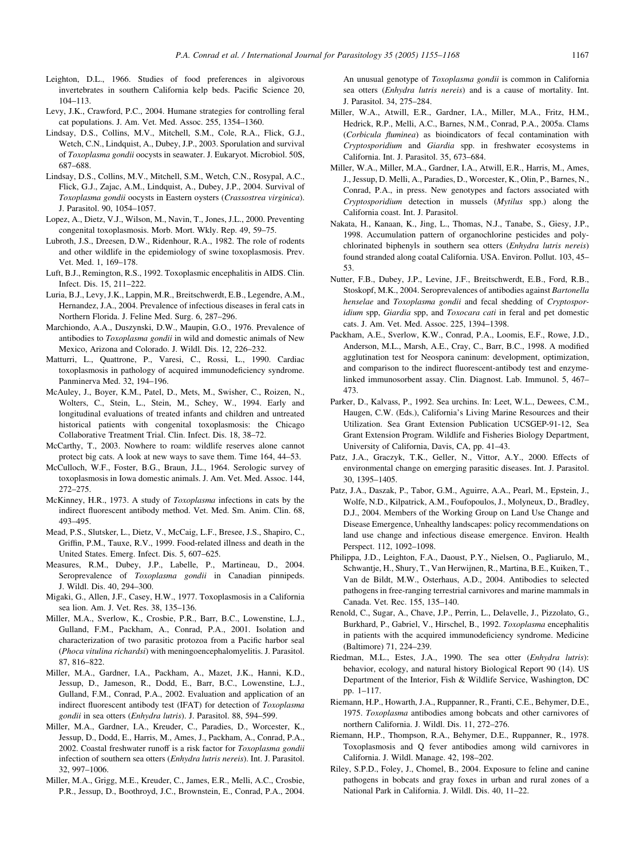- <span id="page-12-0"></span>Leighton, D.L., 1966. Studies of food preferences in algivorous invertebrates in southern California kelp beds. Pacific Science 20, 104–113.
- Levy, J.K., Crawford, P.C., 2004. Humane strategies for controlling feral cat populations. J. Am. Vet. Med. Assoc. 255, 1354–1360.
- Lindsay, D.S., Collins, M.V., Mitchell, S.M., Cole, R.A., Flick, G.J., Wetch, C.N., Lindquist, A., Dubey, J.P., 2003. Sporulation and survival of Toxoplasma gondii oocysts in seawater. J. Eukaryot. Microbiol. 50S, 687–688.
- Lindsay, D.S., Collins, M.V., Mitchell, S.M., Wetch, C.N., Rosypal, A.C., Flick, G.J., Zajac, A.M., Lindquist, A., Dubey, J.P., 2004. Survival of Toxoplasma gondii oocysts in Eastern oysters (Crassostrea virginica). J. Parasitol. 90, 1054–1057.
- Lopez, A., Dietz, V.J., Wilson, M., Navin, T., Jones, J.L., 2000. Preventing congenital toxoplasmosis. Morb. Mort. Wkly. Rep. 49, 59–75.
- Lubroth, J.S., Dreesen, D.W., Ridenhour, R.A., 1982. The role of rodents and other wildlife in the epidemiology of swine toxoplasmosis. Prev. Vet. Med. 1, 169–178.
- Luft, B.J., Remington, R.S., 1992. Toxoplasmic encephalitis in AIDS. Clin. Infect. Dis. 15, 211–222.
- Luria, B.J., Levy, J.K., Lappin, M.R., Breitschwerdt, E.B., Legendre, A.M., Hernandez, J.A., 2004. Prevalence of infectious diseases in feral cats in Northern Florida. J. Feline Med. Surg. 6, 287–296.
- Marchiondo, A.A., Duszynski, D.W., Maupin, G.O., 1976. Prevalence of antibodies to Toxoplasma gondii in wild and domestic animals of New Mexico, Arizona and Colorado. J. Wildl. Dis. 12, 226–232.
- Matturri, L., Quattrone, P., Varesi, C., Rossi, L., 1990. Cardiac toxoplasmosis in pathology of acquired immunodeficiency syndrome. Panminerva Med. 32, 194–196.
- McAuley, J., Boyer, K.M., Patel, D., Mets, M., Swisher, C., Roizen, N., Wolters, C., Stein, L., Stein, M., Schey, W., 1994. Early and longitudinal evaluations of treated infants and children and untreated historical patients with congenital toxoplasmosis: the Chicago Collaborative Treatment Trial. Clin. Infect. Dis. 18, 38–72.
- McCarthy, T., 2003. Nowhere to roam: wildlife reserves alone cannot protect big cats. A look at new ways to save them. Time 164, 44–53.
- McCulloch, W.F., Foster, B.G., Braun, J.L., 1964. Serologic survey of toxoplasmosis in Iowa domestic animals. J. Am. Vet. Med. Assoc. 144, 272–275.
- McKinney, H.R., 1973. A study of Toxoplasma infections in cats by the indirect fluorescent antibody method. Vet. Med. Sm. Anim. Clin. 68, 493–495.
- Mead, P.S., Slutsker, L., Dietz, V., McCaig, L.F., Bresee, J.S., Shapiro, C., Griffin, P.M., Tauxe, R.V., 1999. Food-related illness and death in the United States. Emerg. Infect. Dis. 5, 607–625.
- Measures, R.M., Dubey, J.P., Labelle, P., Martineau, D., 2004. Seroprevalence of Toxoplasma gondii in Canadian pinnipeds. J. Wildl. Dis. 40, 294–300.
- Migaki, G., Allen, J.F., Casey, H.W., 1977. Toxoplasmosis in a California sea lion. Am. J. Vet. Res. 38, 135–136.
- Miller, M.A., Sverlow, K., Crosbie, P.R., Barr, B.C., Lowenstine, L.J., Gulland, F.M., Packham, A., Conrad, P.A., 2001. Isolation and characterization of two parasitic protozoa from a Pacific harbor seal (Phoca vitulina richardsi) with meningoencephalomyelitis. J. Parasitol. 87, 816–822.
- Miller, M.A., Gardner, I.A., Packham, A., Mazet, J.K., Hanni, K.D., Jessup, D., Jameson, R., Dodd, E., Barr, B.C., Lowenstine, L.J., Gulland, F.M., Conrad, P.A., 2002. Evaluation and application of an indirect fluorescent antibody test (IFAT) for detection of Toxoplasma gondii in sea otters (Enhydra lutris). J. Parasitol. 88, 594–599.
- Miller, M.A., Gardner, I.A., Kreuder, C., Paradies, D., Worcester, K., Jessup, D., Dodd, E., Harris, M., Ames, J., Packham, A., Conrad, P.A., 2002. Coastal freshwater runoff is a risk factor for Toxoplasma gondii infection of southern sea otters (Enhydra lutris nereis). Int. J. Parasitol. 32, 997–1006.
- Miller, M.A., Grigg, M.E., Kreuder, C., James, E.R., Melli, A.C., Crosbie, P.R., Jessup, D., Boothroyd, J.C., Brownstein, E., Conrad, P.A., 2004.

An unusual genotype of Toxoplasma gondii is common in California sea otters (Enhydra lutris nereis) and is a cause of mortality. Int. J. Parasitol. 34, 275–284.

- Miller, W.A., Atwill, E.R., Gardner, I.A., Miller, M.A., Fritz, H.M., Hedrick, R.P., Melli, A.C., Barnes, N.M., Conrad, P.A., 2005a. Clams (Corbicula fluminea) as bioindicators of fecal contamination with Cryptosporidium and Giardia spp. in freshwater ecosystems in California. Int. J. Parasitol. 35, 673–684.
- Miller, W.A., Miller, M.A., Gardner, I.A., Atwill, E.R., Harris, M., Ames, J., Jessup, D. Melli, A., Paradies, D., Worcester, K., Olin, P., Barnes, N., Conrad, P.A., in press. New genotypes and factors associated with Cryptosporidium detection in mussels (Mytilus spp.) along the California coast. Int. J. Parasitol.
- Nakata, H., Kanaan, K., Jing, L., Thomas, N.J., Tanabe, S., Giesy, J.P., 1998. Accumulation pattern of organochlorine pesticides and polychlorinated biphenyls in southern sea otters (Enhydra lutris nereis) found stranded along coatal California. USA. Environ. Pollut. 103, 45– 53.
- Nutter, F.B., Dubey, J.P., Levine, J.F., Breitschwerdt, E.B., Ford, R.B., Stoskopf, M.K., 2004. Seroprevalences of antibodies against Bartonella henselae and Toxoplasma gondii and fecal shedding of Cryptosporidium spp, Giardia spp, and Toxocara cati in feral and pet domestic cats. J. Am. Vet. Med. Assoc. 225, 1394–1398.
- Packham, A.E., Sverlow, K.W., Conrad, P.A., Loomis, E.F., Rowe, J.D., Anderson, M.L., Marsh, A.E., Cray, C., Barr, B.C., 1998. A modified agglutination test for Neospora caninum: development, optimization, and comparison to the indirect fluorescent-antibody test and enzymelinked immunosorbent assay. Clin. Diagnost. Lab. Immunol. 5, 467– 473.
- Parker, D., Kalvass, P., 1992. Sea urchins. In: Leet, W.L., Dewees, C.M., Haugen, C.W. (Eds.), California's Living Marine Resources and their Utilization. Sea Grant Extension Publication UCSGEP-91-12, Sea Grant Extension Program. Wildlife and Fisheries Biology Department, University of California, Davis, CA, pp. 41–43.
- Patz, J.A., Graczyk, T.K., Geller, N., Vittor, A.Y., 2000. Effects of environmental change on emerging parasitic diseases. Int. J. Parasitol. 30, 1395–1405.
- Patz, J.A., Daszak, P., Tabor, G.M., Aguirre, A.A., Pearl, M., Epstein, J., Wolfe, N.D., Kilpatrick, A.M., Foufopoulos, J., Molyneux, D., Bradley, D.J., 2004. Members of the Working Group on Land Use Change and Disease Emergence, Unhealthy landscapes: policy recommendations on land use change and infectious disease emergence. Environ. Health Perspect. 112, 1092–1098.
- Philippa, J.D., Leighton, F.A., Daoust, P.Y., Nielsen, O., Pagliarulo, M., Schwantje, H., Shury, T., Van Herwijnen, R., Martina, B.E., Kuiken, T., Van de Bildt, M.W., Osterhaus, A.D., 2004. Antibodies to selected pathogens in free-ranging terrestrial carnivores and marine mammals in Canada. Vet. Rec. 155, 135–140.
- Renold, C., Sugar, A., Chave, J.P., Perrin, L., Delavelle, J., Pizzolato, G., Burkhard, P., Gabriel, V., Hirschel, B., 1992. Toxoplasma encephalitis in patients with the acquired immunodeficiency syndrome. Medicine (Baltimore) 71, 224–239.
- Riedman, M.L., Estes, J.A., 1990. The sea otter (Enhydra lutris): behavior, ecology, and natural history Biological Report 90 (14). US Department of the Interior, Fish & Wildlife Service, Washington, DC pp. 1–117.
- Riemann, H.P., Howarth, J.A., Ruppanner, R., Franti, C.E., Behymer, D.E., 1975. Toxoplasma antibodies among bobcats and other carnivores of northern California. J. Wildl. Dis. 11, 272–276.
- Riemann, H.P., Thompson, R.A., Behymer, D.E., Ruppanner, R., 1978. Toxoplasmosis and Q fever antibodies among wild carnivores in California. J. Wildl. Manage. 42, 198–202.
- Riley, S.P.D., Foley, J., Chomel, B., 2004. Exposure to feline and canine pathogens in bobcats and gray foxes in urban and rural zones of a National Park in California. J. Wildl. Dis. 40, 11–22.